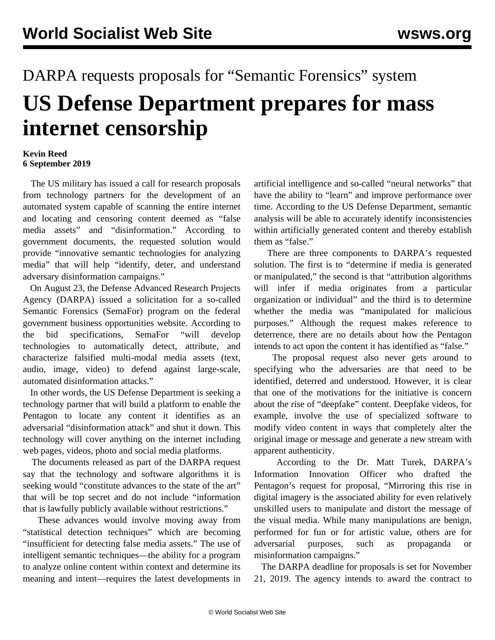## DARPA requests proposals for "Semantic Forensics" system

## **US Defense Department prepares for mass internet censorship**

## **Kevin Reed 6 September 2019**

 The US military has issued a call for research proposals from technology partners for the development of an automated system capable of scanning the entire internet and locating and censoring content deemed as "false media assets" and "disinformation." According to government documents, the requested solution would provide "innovative semantic technologies for analyzing media" that will help "identify, deter, and understand adversary disinformation campaigns."

 On August 23, the Defense Advanced Research Projects Agency (DARPA) issued a solicitation for a so-called Semantic Forensics (SemaFor) program on the federal government business opportunities website. According to the bid specifications, SemaFor "will develop technologies to automatically detect, attribute, and characterize falsified multi-modal media assets (text, audio, image, video) to defend against large-scale, automated disinformation attacks."

 In other words, the US Defense Department is seeking a technology partner that will build a platform to enable the Pentagon to locate any content it identifies as an adversarial "disinformation attack" and shut it down. This technology will cover anything on the internet including web pages, videos, photo and social media platforms.

 The documents released as part of the DARPA request say that the technology and software algorithms it is seeking would "constitute advances to the state of the art" that will be top secret and do not include "information that is lawfully publicly available without restrictions."

 These advances would involve moving away from "statistical detection techniques" which are becoming "insufficient for detecting false media assets." The use of intelligent semantic techniques—the ability for a program to analyze online content within context and determine its meaning and intent—requires the latest developments in artificial intelligence and so-called "neural networks" that have the ability to "learn" and improve performance over time. According to the US Defense Department, semantic analysis will be able to accurately identify inconsistencies within artificially generated content and thereby establish them as "false."

 There are three components to DARPA's requested solution. The first is to "determine if media is generated or manipulated," the second is that "attribution algorithms will infer if media originates from a particular organization or individual" and the third is to determine whether the media was "manipulated for malicious purposes." Although the request makes reference to deterrence, there are no details about how the Pentagon intends to act upon the content it has identified as "false."

 The proposal request also never gets around to specifying who the adversaries are that need to be identified, deterred and understood. However, it is clear that one of the motivations for the initiative is concern about the rise of "deepfake" content. Deepfake videos, for example, involve the use of specialized software to modify video content in ways that completely alter the original image or message and generate a new stream with apparent authenticity.

 According to the Dr. Matt Turek, DARPA's Information Innovation Officer who drafted the Pentagon's request for proposal, "Mirroring this rise in digital imagery is the associated ability for even relatively unskilled users to manipulate and distort the message of the visual media. While many manipulations are benign, performed for fun or for artistic value, others are for adversarial purposes, such as propaganda or misinformation campaigns."

 The DARPA deadline for proposals is set for November 21, 2019. The agency intends to award the contract to